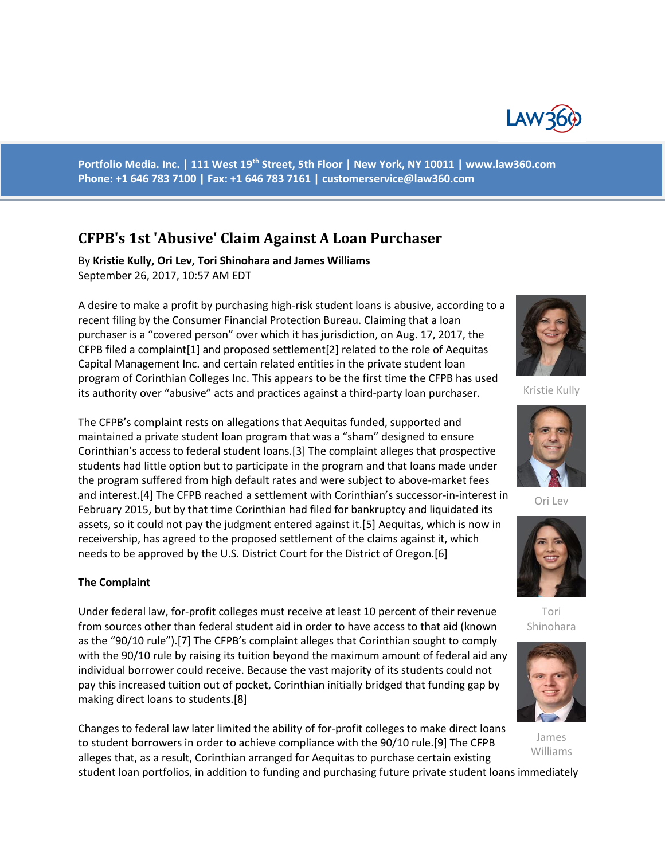

**Portfolio Media. Inc. | 111 West 19th Street, 5th Floor | New York, NY 10011 | www.law360.com Phone: +1 646 783 7100 | Fax: +1 646 783 7161 | [customerservice@law360.com](mailto:customerservice@law360.com)**

# **CFPB's 1st 'Abusive' Claim Against A Loan Purchaser**

By **Kristie Kully, Ori Lev, Tori Shinohara and James Williams**  September 26, 2017, 10:57 AM EDT

A desire to make a profit by purchasing high-risk student loans is abusive, according to a recent filing by the Consumer Financial Protection Bureau. Claiming that a loan purchaser is a "covered person" over which it has jurisdiction, on Aug. 17, 2017, the CFPB filed a complaint[1] and proposed settlement[2] related to the role of Aequitas Capital Management Inc. and certain related entities in the private student loan program of Corinthian Colleges Inc. This appears to be the first time the CFPB has used its authority over "abusive" acts and practices against a third-party loan purchaser.

The CFPB's complaint rests on allegations that Aequitas funded, supported and maintained a private student loan program that was a "sham" designed to ensure Corinthian's access to federal student loans.[3] The complaint alleges that prospective students had little option but to participate in the program and that loans made under the program suffered from high default rates and were subject to above-market fees and interest.[4] The CFPB reached a settlement with Corinthian's successor-in-interest in February 2015, but by that time Corinthian had filed for bankruptcy and liquidated its assets, so it could not pay the judgment entered against it.[5] Aequitas, which is now in receivership, has agreed to the proposed settlement of the claims against it, which needs to be approved by the U.S. District Court for the District of Oregon.[6]

#### **The Complaint**

Under federal law, for-profit colleges must receive at least 10 percent of their revenue from sources other than federal student aid in order to have access to that aid (known as the "90/10 rule").[7] The CFPB's complaint alleges that Corinthian sought to comply with the 90/10 rule by raising its tuition beyond the maximum amount of federal aid any individual borrower could receive. Because the vast majority of its students could not pay this increased tuition out of pocket, Corinthian initially bridged that funding gap by making direct loans to students.[8]

Changes to federal law later limited the ability of for-profit colleges to make direct loans to student borrowers in order to achieve compliance with the 90/10 rule.[9] The CFPB alleges that, as a result, Corinthian arranged for Aequitas to purchase certain existing



Kristie Kully



Ori Lev



Tori Shinohara



James Williams

student loan portfolios, in addition to funding and purchasing future private student loans immediately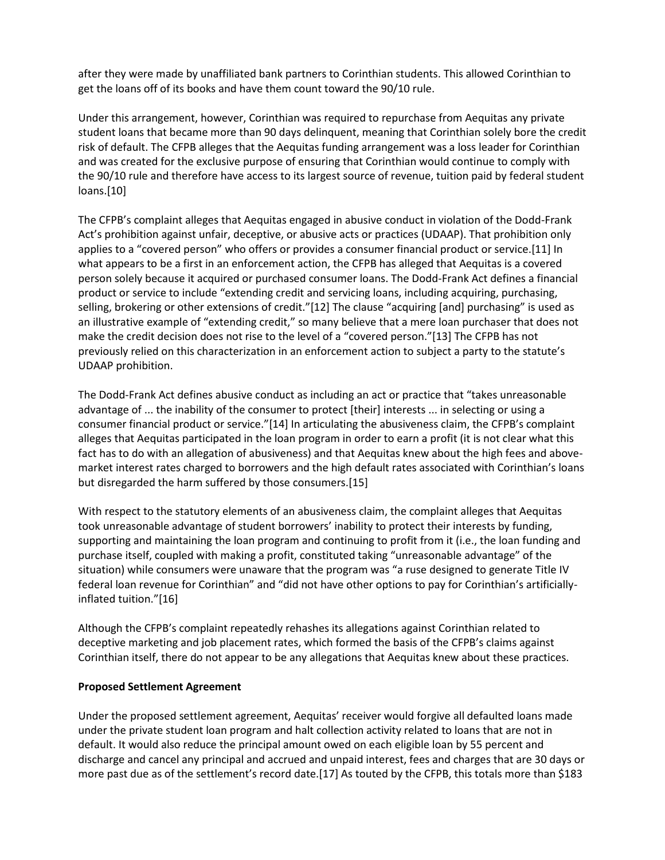after they were made by unaffiliated bank partners to Corinthian students. This allowed Corinthian to get the loans off of its books and have them count toward the 90/10 rule.

Under this arrangement, however, Corinthian was required to repurchase from Aequitas any private student loans that became more than 90 days delinquent, meaning that Corinthian solely bore the credit risk of default. The CFPB alleges that the Aequitas funding arrangement was a loss leader for Corinthian and was created for the exclusive purpose of ensuring that Corinthian would continue to comply with the 90/10 rule and therefore have access to its largest source of revenue, tuition paid by federal student loans.[10]

The CFPB's complaint alleges that Aequitas engaged in abusive conduct in violation of the Dodd-Frank Act's prohibition against unfair, deceptive, or abusive acts or practices (UDAAP). That prohibition only applies to a "covered person" who offers or provides a consumer financial product or service.[11] In what appears to be a first in an enforcement action, the CFPB has alleged that Aequitas is a covered person solely because it acquired or purchased consumer loans. The Dodd-Frank Act defines a financial product or service to include "extending credit and servicing loans, including acquiring, purchasing, selling, brokering or other extensions of credit."[12] The clause "acquiring [and] purchasing" is used as an illustrative example of "extending credit," so many believe that a mere loan purchaser that does not make the credit decision does not rise to the level of a "covered person."[13] The CFPB has not previously relied on this characterization in an enforcement action to subject a party to the statute's UDAAP prohibition.

The Dodd-Frank Act defines abusive conduct as including an act or practice that "takes unreasonable advantage of ... the inability of the consumer to protect [their] interests ... in selecting or using a consumer financial product or service."[14] In articulating the abusiveness claim, the CFPB's complaint alleges that Aequitas participated in the loan program in order to earn a profit (it is not clear what this fact has to do with an allegation of abusiveness) and that Aequitas knew about the high fees and abovemarket interest rates charged to borrowers and the high default rates associated with Corinthian's loans but disregarded the harm suffered by those consumers.[15]

With respect to the statutory elements of an abusiveness claim, the complaint alleges that Aequitas took unreasonable advantage of student borrowers' inability to protect their interests by funding, supporting and maintaining the loan program and continuing to profit from it (i.e., the loan funding and purchase itself, coupled with making a profit, constituted taking "unreasonable advantage" of the situation) while consumers were unaware that the program was "a ruse designed to generate Title IV federal loan revenue for Corinthian" and "did not have other options to pay for Corinthian's artificiallyinflated tuition."[16]

Although the CFPB's complaint repeatedly rehashes its allegations against Corinthian related to deceptive marketing and job placement rates, which formed the basis of the CFPB's claims against Corinthian itself, there do not appear to be any allegations that Aequitas knew about these practices.

### **Proposed Settlement Agreement**

Under the proposed settlement agreement, Aequitas' receiver would forgive all defaulted loans made under the private student loan program and halt collection activity related to loans that are not in default. It would also reduce the principal amount owed on each eligible loan by 55 percent and discharge and cancel any principal and accrued and unpaid interest, fees and charges that are 30 days or more past due as of the settlement's record date.[17] As touted by the CFPB, this totals more than \$183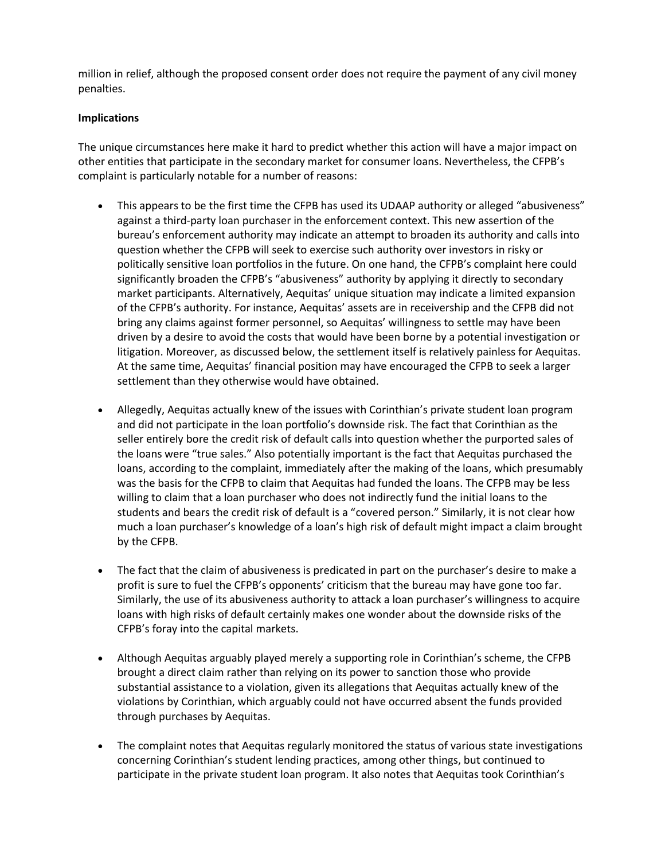million in relief, although the proposed consent order does not require the payment of any civil money penalties.

## **Implications**

The unique circumstances here make it hard to predict whether this action will have a major impact on other entities that participate in the secondary market for consumer loans. Nevertheless, the CFPB's complaint is particularly notable for a number of reasons:

- This appears to be the first time the CFPB has used its UDAAP authority or alleged "abusiveness" against a third-party loan purchaser in the enforcement context. This new assertion of the bureau's enforcement authority may indicate an attempt to broaden its authority and calls into question whether the CFPB will seek to exercise such authority over investors in risky or politically sensitive loan portfolios in the future. On one hand, the CFPB's complaint here could significantly broaden the CFPB's "abusiveness" authority by applying it directly to secondary market participants. Alternatively, Aequitas' unique situation may indicate a limited expansion of the CFPB's authority. For instance, Aequitas' assets are in receivership and the CFPB did not bring any claims against former personnel, so Aequitas' willingness to settle may have been driven by a desire to avoid the costs that would have been borne by a potential investigation or litigation. Moreover, as discussed below, the settlement itself is relatively painless for Aequitas. At the same time, Aequitas' financial position may have encouraged the CFPB to seek a larger settlement than they otherwise would have obtained.
- Allegedly, Aequitas actually knew of the issues with Corinthian's private student loan program and did not participate in the loan portfolio's downside risk. The fact that Corinthian as the seller entirely bore the credit risk of default calls into question whether the purported sales of the loans were "true sales." Also potentially important is the fact that Aequitas purchased the loans, according to the complaint, immediately after the making of the loans, which presumably was the basis for the CFPB to claim that Aequitas had funded the loans. The CFPB may be less willing to claim that a loan purchaser who does not indirectly fund the initial loans to the students and bears the credit risk of default is a "covered person." Similarly, it is not clear how much a loan purchaser's knowledge of a loan's high risk of default might impact a claim brought by the CFPB.
- The fact that the claim of abusiveness is predicated in part on the purchaser's desire to make a profit is sure to fuel the CFPB's opponents' criticism that the bureau may have gone too far. Similarly, the use of its abusiveness authority to attack a loan purchaser's willingness to acquire loans with high risks of default certainly makes one wonder about the downside risks of the CFPB's foray into the capital markets.
- Although Aequitas arguably played merely a supporting role in Corinthian's scheme, the CFPB brought a direct claim rather than relying on its power to sanction those who provide substantial assistance to a violation, given its allegations that Aequitas actually knew of the violations by Corinthian, which arguably could not have occurred absent the funds provided through purchases by Aequitas.
- The complaint notes that Aequitas regularly monitored the status of various state investigations concerning Corinthian's student lending practices, among other things, but continued to participate in the private student loan program. It also notes that Aequitas took Corinthian's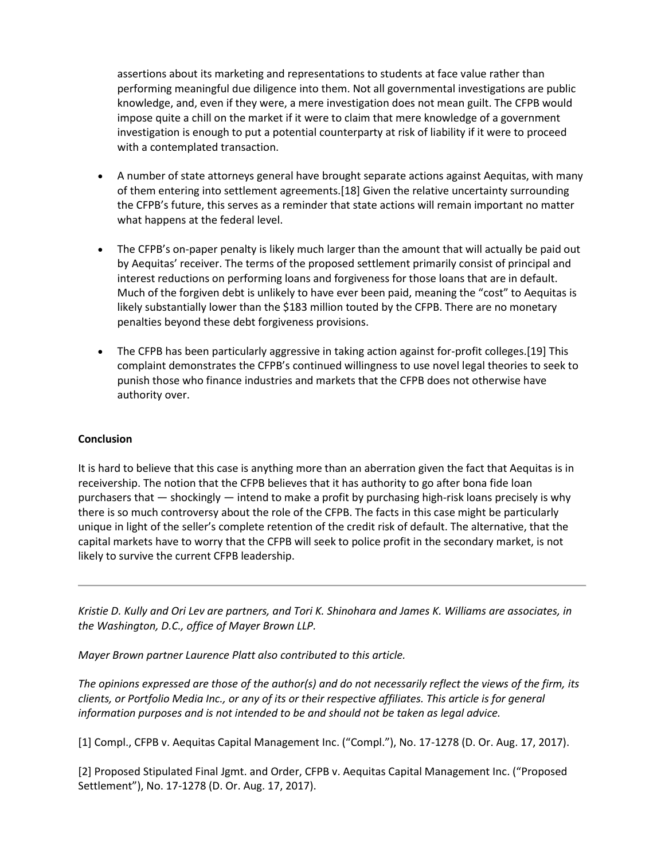assertions about its marketing and representations to students at face value rather than performing meaningful due diligence into them. Not all governmental investigations are public knowledge, and, even if they were, a mere investigation does not mean guilt. The CFPB would impose quite a chill on the market if it were to claim that mere knowledge of a government investigation is enough to put a potential counterparty at risk of liability if it were to proceed with a contemplated transaction.

- A number of state attorneys general have brought separate actions against Aequitas, with many of them entering into settlement agreements.[18] Given the relative uncertainty surrounding the CFPB's future, this serves as a reminder that state actions will remain important no matter what happens at the federal level.
- The CFPB's on-paper penalty is likely much larger than the amount that will actually be paid out by Aequitas' receiver. The terms of the proposed settlement primarily consist of principal and interest reductions on performing loans and forgiveness for those loans that are in default. Much of the forgiven debt is unlikely to have ever been paid, meaning the "cost" to Aequitas is likely substantially lower than the \$183 million touted by the CFPB. There are no monetary penalties beyond these debt forgiveness provisions.
- The CFPB has been particularly aggressive in taking action against for-profit colleges.[19] This complaint demonstrates the CFPB's continued willingness to use novel legal theories to seek to punish those who finance industries and markets that the CFPB does not otherwise have authority over.

### **Conclusion**

It is hard to believe that this case is anything more than an aberration given the fact that Aequitas is in receivership. The notion that the CFPB believes that it has authority to go after bona fide loan purchasers that — shockingly — intend to make a profit by purchasing high-risk loans precisely is why there is so much controversy about the role of the CFPB. The facts in this case might be particularly unique in light of the seller's complete retention of the credit risk of default. The alternative, that the capital markets have to worry that the CFPB will seek to police profit in the secondary market, is not likely to survive the current CFPB leadership.

*Kristie D. Kully and Ori Lev are partners, and Tori K. Shinohara and James K. Williams are associates, in the Washington, D.C., office of Mayer Brown LLP.*

*Mayer Brown partner Laurence Platt also contributed to this article.*

*The opinions expressed are those of the author(s) and do not necessarily reflect the views of the firm, its clients, or Portfolio Media Inc., or any of its or their respective affiliates. This article is for general information purposes and is not intended to be and should not be taken as legal advice.*

[1] Compl., CFPB v. Aequitas Capital Management Inc. ("Compl."), No. 17-1278 (D. Or. Aug. 17, 2017).

[2] Proposed Stipulated Final Jgmt. and Order, CFPB v. Aequitas Capital Management Inc. ("Proposed Settlement"), No. 17-1278 (D. Or. Aug. 17, 2017).